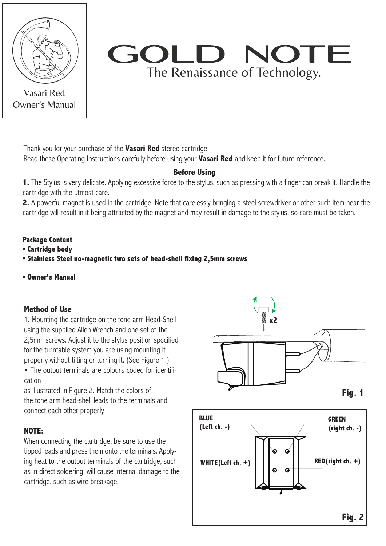

Vasari Red Owner's Manual

# GOI NOTE The Renaissance of Technology.

Thank you for your purchase of the **Vasari Red** stereo cartridge.

Read these Operating Instructions carefully before using your **Vasari Red** and keep it for future reference.

# **Before Using**

**1.** The Stylus is very delicate. Applying excessive force to the stylus, such as pressing with a finger can break it. Handle the cartridge with the utmost care.

**2.** A powerful magnet is used in the cartridge. Note that carelessly bringing a steel screwdriver or other such item near the cartridge will result in it being attracted by the magnet and may result in damage to the stylus, so care must be taken.

## **Package Content**

- **Cartridge body**
- **Stainless Steel no-magnetic two sets of head-shell fixing 2,5mm screws**
- **Owner's Manual**

## **Method of Use**

1. Mounting the cartridge on the tone arm Head-Shell using the supplied Allen Wrench and one set of the 2,5mm screws. Adjust it to the stylus position specified for the turntable system you are using mounting it properly without tilting or turning it. (See Figure 1.)

• The output terminals are colours coded for identification

as illustrated in Figure 2. Match the colors of the tone arm head-shell leads to the terminals and connect each other properly.

# **NOTE:**

When connecting the cartridge, be sure to use the tipped leads and press them onto the terminals. Applying heat to the output terminals of the cartridge, such as in direct soldering, will cause internal damage to the cartridge, such as wire breakage.